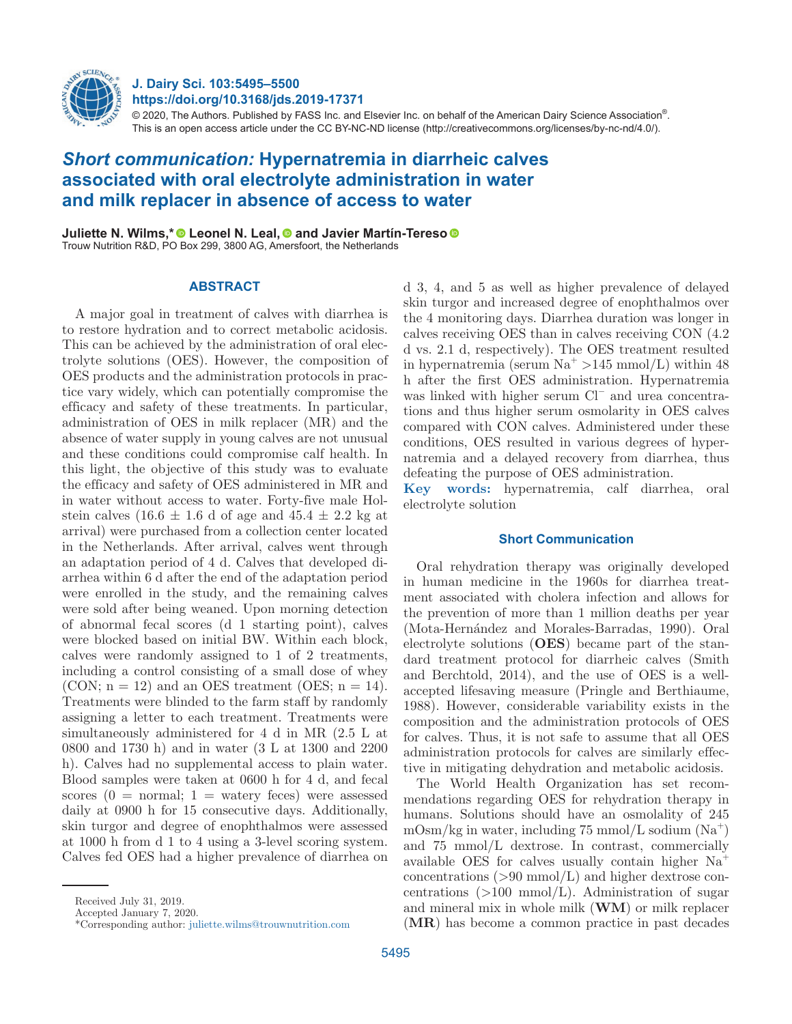

# **J. Dairy Sci. 103:5495–5500 https://doi.org/10.3168/jds.2019-17371**

© 2020, The Authors. Published by FASS Inc. and Elsevier Inc. on behalf of the American Dairy Science Association®. This is an open access article under the CC BY-NC-ND license (http://creativecommons.org/licenses/by-nc-nd/4.0/).

# *Short communication:* **Hypernatremia in diarrheic calves associated with oral electrolyte administration in water and milk replacer in absence of access to water**

**Juliette N. Wilms,\* © Leonel N. Leal, © and Javier Martín-Tereso ©** Trouw Nutrition R&D, PO Box 299, 3800 AG, Amersfoort, the Netherlands

## **ABSTRACT**

A major goal in treatment of calves with diarrhea is to restore hydration and to correct metabolic acidosis. This can be achieved by the administration of oral electrolyte solutions (OES). However, the composition of OES products and the administration protocols in practice vary widely, which can potentially compromise the efficacy and safety of these treatments. In particular, administration of OES in milk replacer (MR) and the absence of water supply in young calves are not unusual and these conditions could compromise calf health. In this light, the objective of this study was to evaluate the efficacy and safety of OES administered in MR and in water without access to water. Forty-five male Holstein calves  $(16.6 \pm 1.6$  d of age and  $45.4 \pm 2.2$  kg at arrival) were purchased from a collection center located in the Netherlands. After arrival, calves went through an adaptation period of 4 d. Calves that developed diarrhea within 6 d after the end of the adaptation period were enrolled in the study, and the remaining calves were sold after being weaned. Upon morning detection of abnormal fecal scores (d 1 starting point), calves were blocked based on initial BW. Within each block, calves were randomly assigned to 1 of 2 treatments, including a control consisting of a small dose of whey (CON;  $n = 12$ ) and an OES treatment (OES;  $n = 14$ ). Treatments were blinded to the farm staff by randomly assigning a letter to each treatment. Treatments were simultaneously administered for 4 d in MR (2.5 L at 0800 and 1730 h) and in water (3 L at 1300 and 2200 h). Calves had no supplemental access to plain water. Blood samples were taken at 0600 h for 4 d, and fecal scores  $(0 = normal; 1 = waterv$  feces) were assessed daily at 0900 h for 15 consecutive days. Additionally, skin turgor and degree of enophthalmos were assessed at 1000 h from d 1 to 4 using a 3-level scoring system. Calves fed OES had a higher prevalence of diarrhea on

Received July 31, 2019.

Accepted January 7, 2020.

d 3, 4, and 5 as well as higher prevalence of delayed skin turgor and increased degree of enophthalmos over the 4 monitoring days. Diarrhea duration was longer in calves receiving OES than in calves receiving CON (4.2 d vs. 2.1 d, respectively). The OES treatment resulted in hypernatremia (serum  $\text{Na}^+$  >145 mmol/L) within 48 h after the first OES administration. Hypernatremia was linked with higher serum Cl− and urea concentrations and thus higher serum osmolarity in OES calves compared with CON calves. Administered under these conditions, OES resulted in various degrees of hypernatremia and a delayed recovery from diarrhea, thus defeating the purpose of OES administration. **Key words:** hypernatremia, calf diarrhea, oral electrolyte solution

# **Short Communication**

Oral rehydration therapy was originally developed in human medicine in the 1960s for diarrhea treatment associated with cholera infection and allows for the prevention of more than 1 million deaths per year (Mota-Hernández and Morales-Barradas, 1990). Oral electrolyte solutions (**OES**) became part of the standard treatment protocol for diarrheic calves (Smith and Berchtold, 2014), and the use of OES is a wellaccepted lifesaving measure (Pringle and Berthiaume, 1988). However, considerable variability exists in the composition and the administration protocols of OES for calves. Thus, it is not safe to assume that all OES administration protocols for calves are similarly effective in mitigating dehydration and metabolic acidosis.

The World Health Organization has set recommendations regarding OES for rehydration therapy in humans. Solutions should have an osmolality of 245  $mOsm/kg$  in water, including 75 mmol/L sodium  $(Na^+)$ and 75 mmol/L dextrose. In contrast, commercially available OES for calves usually contain higher Na<sup>+</sup> concentrations  $(>90 \text{ mmol/L})$  and higher dextrose concentrations  $(>100 \text{ mmol/L})$ . Administration of sugar and mineral mix in whole milk (**WM**) or milk replacer (**MR**) has become a common practice in past decades

<sup>\*</sup>Corresponding author: [juliette.wilms@trouwnutrition.com](mailto:juliette.wilms@trouwnutrition.com)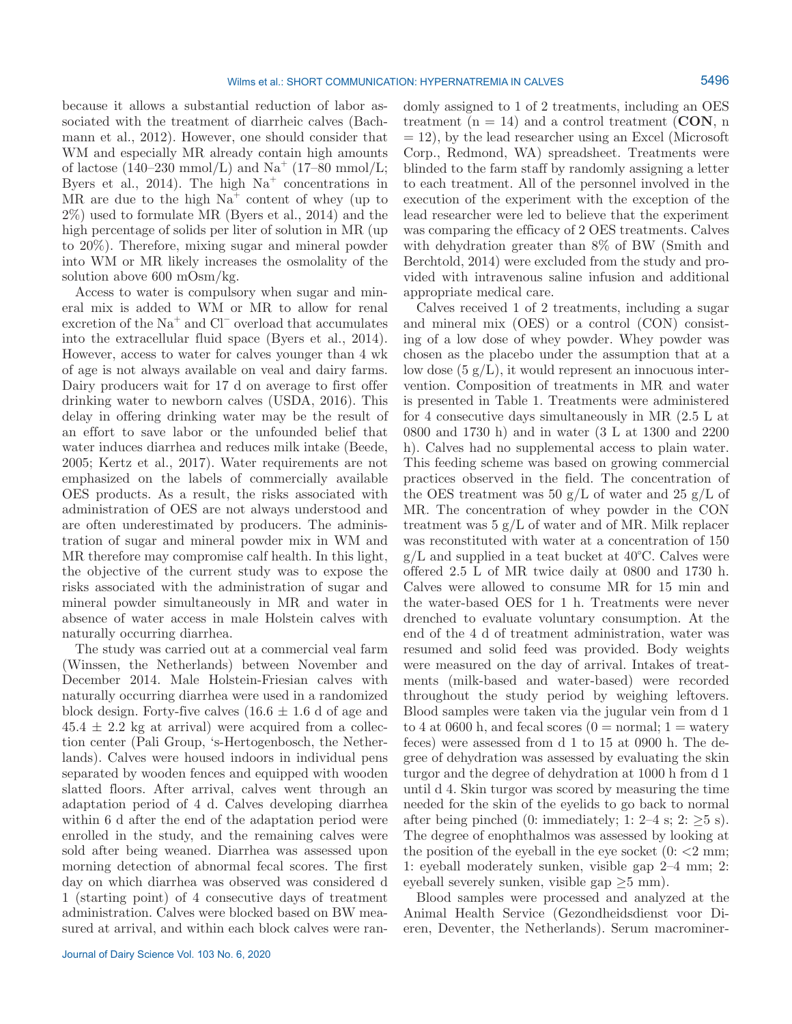because it allows a substantial reduction of labor associated with the treatment of diarrheic calves (Bachmann et al., 2012). However, one should consider that WM and especially MR already contain high amounts of lactose  $(140-230 \text{ mmol/L})$  and Na<sup>+</sup>  $(17-80 \text{ mmol/L})$ ; Byers et al., 2014). The high  $Na<sup>+</sup>$  concentrations in MR are due to the high  $Na<sup>+</sup>$  content of whey (up to 2%) used to formulate MR (Byers et al., 2014) and the high percentage of solids per liter of solution in MR (up to 20%). Therefore, mixing sugar and mineral powder into WM or MR likely increases the osmolality of the solution above 600 mOsm/kg.

Access to water is compulsory when sugar and mineral mix is added to WM or MR to allow for renal excretion of the Na<sup>+</sup> and Cl<sup>−</sup> overload that accumulates into the extracellular fluid space (Byers et al., 2014). However, access to water for calves younger than 4 wk of age is not always available on veal and dairy farms. Dairy producers wait for 17 d on average to first offer drinking water to newborn calves (USDA, 2016). This delay in offering drinking water may be the result of an effort to save labor or the unfounded belief that water induces diarrhea and reduces milk intake (Beede, 2005; Kertz et al., 2017). Water requirements are not emphasized on the labels of commercially available OES products. As a result, the risks associated with administration of OES are not always understood and are often underestimated by producers. The administration of sugar and mineral powder mix in WM and MR therefore may compromise calf health. In this light, the objective of the current study was to expose the risks associated with the administration of sugar and mineral powder simultaneously in MR and water in absence of water access in male Holstein calves with naturally occurring diarrhea.

The study was carried out at a commercial veal farm (Winssen, the Netherlands) between November and December 2014. Male Holstein-Friesian calves with naturally occurring diarrhea were used in a randomized block design. Forty-five calves  $(16.6 \pm 1.6 \text{ d of age and})$  $45.4 \pm 2.2$  kg at arrival) were acquired from a collection center (Pali Group, 's-Hertogenbosch, the Netherlands). Calves were housed indoors in individual pens separated by wooden fences and equipped with wooden slatted floors. After arrival, calves went through an adaptation period of 4 d. Calves developing diarrhea within 6 d after the end of the adaptation period were enrolled in the study, and the remaining calves were sold after being weaned. Diarrhea was assessed upon morning detection of abnormal fecal scores. The first day on which diarrhea was observed was considered d 1 (starting point) of 4 consecutive days of treatment administration. Calves were blocked based on BW measured at arrival, and within each block calves were randomly assigned to 1 of 2 treatments, including an OES treatment  $(n = 14)$  and a control treatment (**CON**, n  $= 12$ ), by the lead researcher using an Excel (Microsoft Corp., Redmond, WA) spreadsheet. Treatments were blinded to the farm staff by randomly assigning a letter to each treatment. All of the personnel involved in the execution of the experiment with the exception of the lead researcher were led to believe that the experiment was comparing the efficacy of 2 OES treatments. Calves with dehydration greater than 8% of BW (Smith and Berchtold, 2014) were excluded from the study and provided with intravenous saline infusion and additional appropriate medical care.

Calves received 1 of 2 treatments, including a sugar and mineral mix (OES) or a control (CON) consisting of a low dose of whey powder. Whey powder was chosen as the placebo under the assumption that at a low dose  $(5 g/L)$ , it would represent an innocuous intervention. Composition of treatments in MR and water is presented in Table 1. Treatments were administered for 4 consecutive days simultaneously in MR (2.5 L at 0800 and 1730 h) and in water (3 L at 1300 and 2200 h). Calves had no supplemental access to plain water. This feeding scheme was based on growing commercial practices observed in the field. The concentration of the OES treatment was 50 g/L of water and 25 g/L of MR. The concentration of whey powder in the CON treatment was  $5 \text{ g/L}$  of water and of MR. Milk replacer was reconstituted with water at a concentration of 150  $g/L$  and supplied in a teat bucket at 40 $\degree$ C. Calves were offered 2.5 L of MR twice daily at 0800 and 1730 h. Calves were allowed to consume MR for 15 min and the water-based OES for 1 h. Treatments were never drenched to evaluate voluntary consumption. At the end of the 4 d of treatment administration, water was resumed and solid feed was provided. Body weights were measured on the day of arrival. Intakes of treatments (milk-based and water-based) were recorded throughout the study period by weighing leftovers. Blood samples were taken via the jugular vein from d 1 to 4 at 0600 h, and fecal scores  $(0 = normal; 1 = water$ feces) were assessed from d 1 to 15 at 0900 h. The degree of dehydration was assessed by evaluating the skin turgor and the degree of dehydration at 1000 h from d 1 until d 4. Skin turgor was scored by measuring the time needed for the skin of the eyelids to go back to normal after being pinched (0: immediately; 1: 2–4 s; 2:  $>5$  s). The degree of enophthalmos was assessed by looking at the position of the eyeball in the eye socket  $(0:  $2 \text{ mm})$ ;$ 1: eyeball moderately sunken, visible gap 2–4 mm; 2: eyeball severely sunken, visible gap  $\geq 5$  mm).

Blood samples were processed and analyzed at the Animal Health Service (Gezondheidsdienst voor Dieren, Deventer, the Netherlands). Serum macrominer-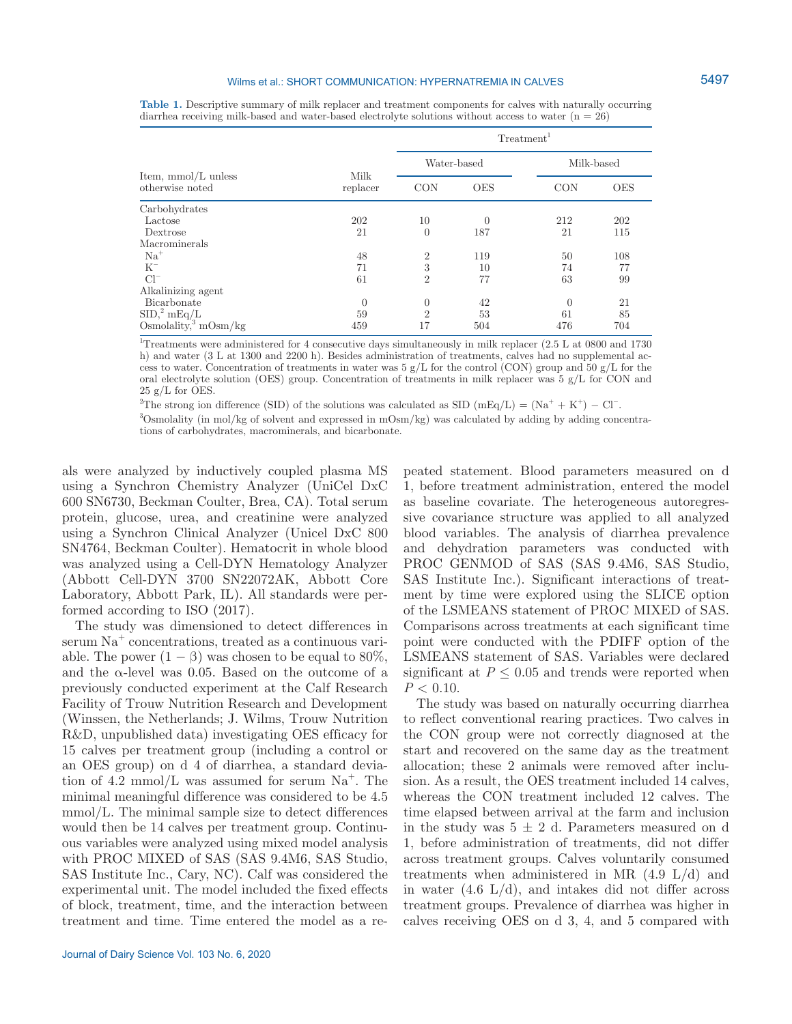#### Wilms et al.: SHORT COMMUNICATION: HYPERNATREMIA IN CALVES

| Item, mmol/L unless<br>otherwise noted | Milk<br>replacer | Treatment <sup>1</sup> |            |            |            |  |
|----------------------------------------|------------------|------------------------|------------|------------|------------|--|
|                                        |                  | Water-based            |            | Milk-based |            |  |
|                                        |                  | CON                    | <b>OES</b> | <b>CON</b> | <b>OES</b> |  |
| Carbohydrates                          |                  |                        |            |            |            |  |
| Lactose                                | 202              | 10                     | $\theta$   | 212        | 202        |  |
| Dextrose                               | 21               | $\overline{0}$         | 187        | 21         | 115        |  |
| Macrominerals                          |                  |                        |            |            |            |  |
| $Na+$                                  | 48               | $\overline{2}$         | 119        | 50         | 108        |  |
| $K^-$                                  | 71               | 3                      | 10         | 74         | 77         |  |
| $Cl^{-}$                               | 61               | $\overline{2}$         | 77         | 63         | 99         |  |
| Alkalinizing agent                     |                  |                        |            |            |            |  |
| Bicarbonate                            | $\theta$         | $\mathbf{0}$           | 42         | $\theta$   | 21         |  |
| $SID$ , $^{2}$ mEq/L                   | 59               | $\overline{2}$         | 53         | 61         | 85         |  |
| Osmolality, $3 \text{ mOsm/kg}$        | 459              | 17                     | 504        | 476        | 704        |  |

**Table 1.** Descriptive summary of milk replacer and treatment components for calves with naturally occurring diarrhea receiving milk-based and water-based electrolyte solutions without access to water  $(n = 26)$ 

1 Treatments were administered for 4 consecutive days simultaneously in milk replacer (2.5 L at 0800 and 1730 h) and water (3 L at 1300 and 2200 h). Besides administration of treatments, calves had no supplemental access to water. Concentration of treatments in water was  $5 g/L$  for the control (CON) group and  $50 g/L$  for the oral electrolyte solution (OES) group. Concentration of treatments in milk replacer was 5 g/L for CON and  $25 \text{ g/L}$  for OES.

<sup>2</sup>The strong ion difference (SID) of the solutions was calculated as SID (mEq/L) = (Na<sup>+</sup> + K<sup>+</sup>) – Cl<sup>-</sup>.

3 Osmolality (in mol/kg of solvent and expressed in mOsm/kg) was calculated by adding by adding concentrations of carbohydrates, macrominerals, and bicarbonate.

als were analyzed by inductively coupled plasma MS using a Synchron Chemistry Analyzer (UniCel DxC 600 SN6730, Beckman Coulter, Brea, CA). Total serum protein, glucose, urea, and creatinine were analyzed using a Synchron Clinical Analyzer (Unicel DxC 800 SN4764, Beckman Coulter). Hematocrit in whole blood was analyzed using a Cell-DYN Hematology Analyzer (Abbott Cell-DYN 3700 SN22072AK, Abbott Core Laboratory, Abbott Park, IL). All standards were performed according to ISO (2017).

The study was dimensioned to detect differences in serum Na<sup>+</sup> concentrations, treated as a continuous variable. The power  $(1 - \beta)$  was chosen to be equal to 80%, and the  $\alpha$ -level was 0.05. Based on the outcome of a previously conducted experiment at the Calf Research Facility of Trouw Nutrition Research and Development (Winssen, the Netherlands; J. Wilms, Trouw Nutrition R&D, unpublished data) investigating OES efficacy for 15 calves per treatment group (including a control or an OES group) on d 4 of diarrhea, a standard deviation of 4.2 mmol/L was assumed for serum  $Na<sup>+</sup>$ . The minimal meaningful difference was considered to be 4.5 mmol/L. The minimal sample size to detect differences would then be 14 calves per treatment group. Continuous variables were analyzed using mixed model analysis with PROC MIXED of SAS (SAS 9.4M6, SAS Studio, SAS Institute Inc., Cary, NC). Calf was considered the experimental unit. The model included the fixed effects of block, treatment, time, and the interaction between treatment and time. Time entered the model as a re-

peated statement. Blood parameters measured on d 1, before treatment administration, entered the model as baseline covariate. The heterogeneous autoregressive covariance structure was applied to all analyzed blood variables. The analysis of diarrhea prevalence and dehydration parameters was conducted with PROC GENMOD of SAS (SAS 9.4M6, SAS Studio, SAS Institute Inc.). Significant interactions of treatment by time were explored using the SLICE option of the LSMEANS statement of PROC MIXED of SAS. Comparisons across treatments at each significant time point were conducted with the PDIFF option of the LSMEANS statement of SAS. Variables were declared significant at  $P \leq 0.05$  and trends were reported when  $P < 0.10$ .

The study was based on naturally occurring diarrhea to reflect conventional rearing practices. Two calves in the CON group were not correctly diagnosed at the start and recovered on the same day as the treatment allocation; these 2 animals were removed after inclusion. As a result, the OES treatment included 14 calves, whereas the CON treatment included 12 calves. The time elapsed between arrival at the farm and inclusion in the study was  $5 \pm 2$  d. Parameters measured on d 1, before administration of treatments, did not differ across treatment groups. Calves voluntarily consumed treatments when administered in MR  $(4.9 \text{ L/d})$  and in water  $(4.6 \text{ L/d})$ , and intakes did not differ across treatment groups. Prevalence of diarrhea was higher in calves receiving OES on d 3, 4, and 5 compared with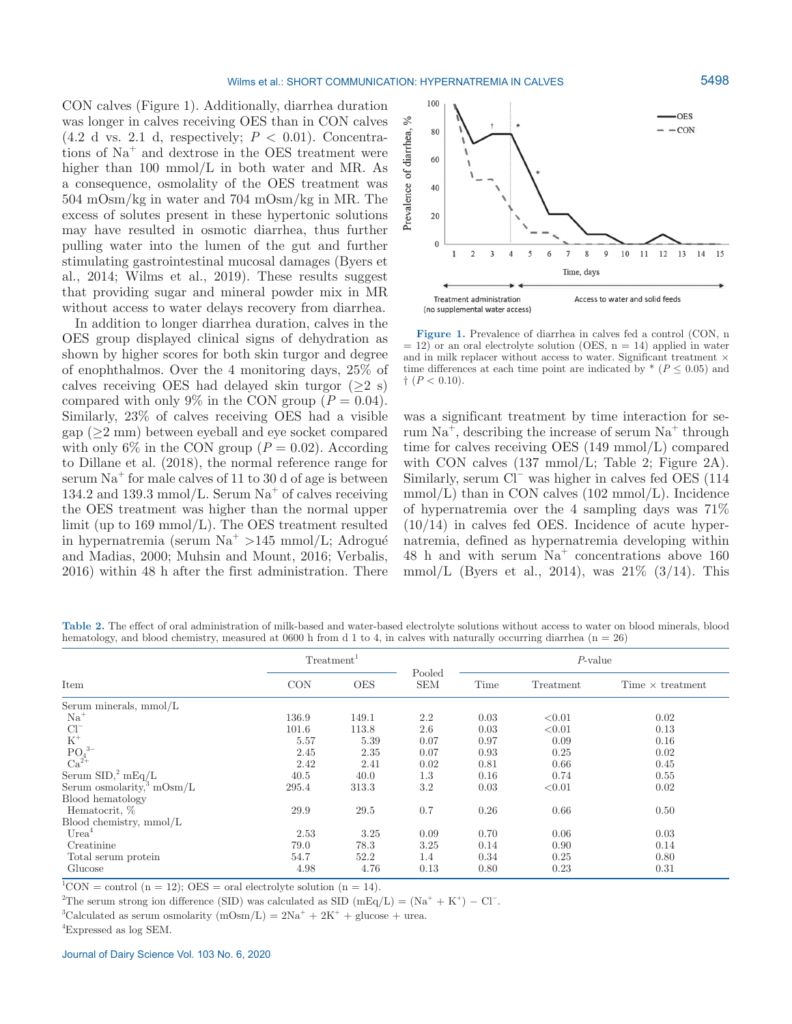CON calves (Figure 1). Additionally, diarrhea duration was longer in calves receiving OES than in CON calves  $(4.2 \text{ d vs. } 2.1 \text{ d}, \text{ respectively}; P < 0.01)$ . Concentrations of  $Na<sup>+</sup>$  and dextrose in the OES treatment were higher than 100 mmol/L in both water and MR. As a consequence, osmolality of the OES treatment was 504 mOsm/kg in water and 704 mOsm/kg in MR. The excess of solutes present in these hypertonic solutions may have resulted in osmotic diarrhea, thus further pulling water into the lumen of the gut and further stimulating gastrointestinal mucosal damages (Byers et al., 2014; Wilms et al., 2019). These results suggest that providing sugar and mineral powder mix in MR without access to water delays recovery from diarrhea.

In addition to longer diarrhea duration, calves in the OES group displayed clinical signs of dehydration as shown by higher scores for both skin turgor and degree of enophthalmos. Over the 4 monitoring days, 25% of calves receiving OES had delayed skin turgor  $(>2 \text{ s})$ compared with only 9% in the CON group  $(P = 0.04)$ . Similarly, 23% of calves receiving OES had a visible  $gap (≥2 mm)$  between eyeball and eye socket compared with only 6% in the CON group ( $P = 0.02$ ). According to Dillane et al. (2018), the normal reference range for serum  $Na<sup>+</sup>$  for male calves of 11 to 30 d of age is between  $134.2$  and  $139.3$  mmol/L. Serum Na<sup>+</sup> of calves receiving the OES treatment was higher than the normal upper limit (up to 169 mmol/L). The OES treatment resulted in hypernatremia (serum  $\mathrm{Na}^+$  >145 mmol/L; Adrogué and Madias, 2000; Muhsin and Mount, 2016; Verbalis, 2016) within 48 h after the first administration. There



**Figure 1.** Prevalence of diarrhea in calves fed a control (CON, n  $= 12$ ) or an oral electrolyte solution (OES, n = 14) applied in water and in milk replacer without access to water. Significant treatment  $\times$ time differences at each time point are indicated by  $*(P \leq 0.05)$  and  $\dagger$  (*P* < 0.10).

was a significant treatment by time interaction for serum  $Na<sup>+</sup>$ , describing the increase of serum  $Na<sup>+</sup>$  through time for calves receiving OES (149 mmol/L) compared with CON calves (137 mmol/L; Table 2; Figure 2A). Similarly, serum Cl− was higher in calves fed OES (114  $mmol/L$ ) than in CON calves (102 mmol/L). Incidence of hypernatremia over the 4 sampling days was 71% (10/14) in calves fed OES. Incidence of acute hypernatremia, defined as hypernatremia developing within 48 h and with serum  $Na<sup>+</sup>$  concentrations above 160 mmol/L (Byers et al., 2014), was  $21\%$  (3/14). This

**Table 2.** The effect of oral administration of milk-based and water-based electrolyte solutions without access to water on blood minerals, blood hematology, and blood chemistry, measured at 0600 h from d 1 to 4, in calves with naturally occurring diarrhea  $(n = 26)$ 

|                                                            |            | Treatment  |                      | $P$ -value |           |                         |
|------------------------------------------------------------|------------|------------|----------------------|------------|-----------|-------------------------|
| Item                                                       | <b>CON</b> | <b>OES</b> | Pooled<br><b>SEM</b> | Time       | Treatment | Time $\times$ treatment |
| Serum minerals, mmol/L                                     |            |            |                      |            |           |                         |
| $Na+$                                                      | 136.9      | 149.1      | 2.2                  | 0.03       | < 0.01    | 0.02                    |
| $Cl^{-}$                                                   | 101.6      | 113.8      | 2.6                  | 0.03       | < 0.01    | 0.13                    |
|                                                            | 5.57       | 5.39       | 0.07                 | 0.97       | 0.09      | 0.16                    |
| $K^+$<br>PO <sub>4</sub> <sup>3-</sup><br>Ca <sup>2+</sup> | 2.45       | 2.35       | 0.07                 | 0.93       | 0.25      | 0.02                    |
|                                                            | 2.42       | 2.41       | 0.02                 | 0.81       | 0.66      | 0.45                    |
| Serum $\text{SID},^2 \text{ mEq/L}$                        | 40.5       | 40.0       | 1.3                  | 0.16       | 0.74      | 0.55                    |
| Serum osmolarity, $mOsm/L$                                 | 295.4      | 313.3      | 3.2                  | 0.03       | < 0.01    | 0.02                    |
| Blood hematology                                           |            |            |                      |            |           |                         |
| Hematocrit, %                                              | 29.9       | 29.5       | 0.7                  | 0.26       | 0.66      | 0.50                    |
| Blood chemistry, mmol/L                                    |            |            |                      |            |           |                         |
| Urea <sup>4</sup>                                          | 2.53       | 3.25       | 0.09                 | 0.70       | 0.06      | 0.03                    |
| Creatinine                                                 | 79.0       | 78.3       | 3.25                 | 0.14       | 0.90      | 0.14                    |
| Total serum protein                                        | 54.7       | 52.2       | 1.4                  | 0.34       | 0.25      | 0.80                    |
| Glucose                                                    | 4.98       | 4.76       | 0.13                 | 0.80       | 0.23      | 0.31                    |

 ${}^{1}$ CON = control (n = 12); OES = oral electrolyte solution (n = 14).

<sup>2</sup>The serum strong ion difference (SID) was calculated as SID (mEq/L) = (Na<sup>+</sup> + K<sup>+</sup>) – Cl<sup>-</sup>.

<sup>3</sup>Calculated as serum osmolarity  $(mOsm/L) = 2Na^{+} + 2K^{+} +$  glucose + urea.

4 Expressed as log SEM.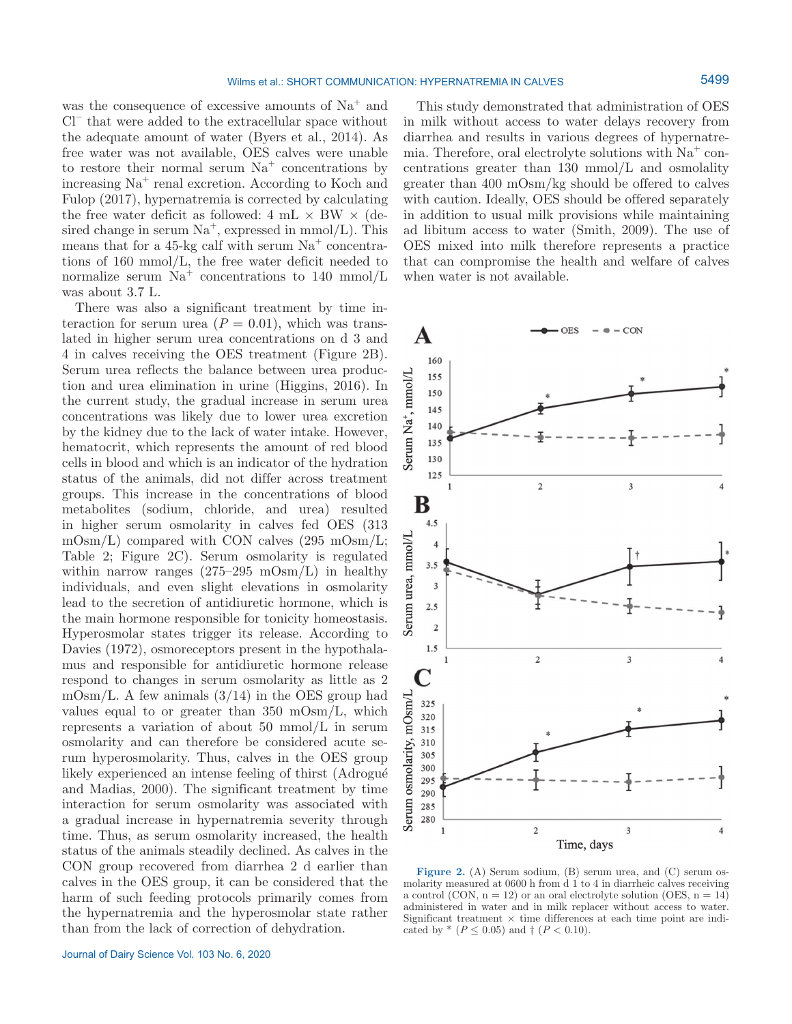was the consequence of excessive amounts of  $Na<sup>+</sup>$  and Cl− that were added to the extracellular space without the adequate amount of water (Byers et al., 2014). As free water was not available, OES calves were unable to restore their normal serum  $Na<sup>+</sup>$  concentrations by increasing Na<sup>+</sup> renal excretion. According to Koch and Fulop (2017), hypernatremia is corrected by calculating the free water deficit as followed:  $4 \text{ mL} \times \text{BW} \times (\text{de-}$ sired change in serum  $Na^+$ , expressed in mmol/L). This means that for a 45-kg calf with serum  $Na<sup>+</sup>$  concentrations of 160 mmol/L, the free water deficit needed to normalize serum  $Na<sup>+</sup>$  concentrations to 140 mmol/L was about 3.7 L.

There was also a significant treatment by time interaction for serum urea  $(P = 0.01)$ , which was translated in higher serum urea concentrations on d 3 and 4 in calves receiving the OES treatment (Figure 2B). Serum urea reflects the balance between urea production and urea elimination in urine (Higgins, 2016). In the current study, the gradual increase in serum urea concentrations was likely due to lower urea excretion by the kidney due to the lack of water intake. However, hematocrit, which represents the amount of red blood cells in blood and which is an indicator of the hydration status of the animals, did not differ across treatment groups. This increase in the concentrations of blood metabolites (sodium, chloride, and urea) resulted in higher serum osmolarity in calves fed OES (313 mOsm/L) compared with CON calves (295 mOsm/L; Table 2; Figure 2C). Serum osmolarity is regulated within narrow ranges  $(275-295 \text{ mO} \text{sm/L})$  in healthy individuals, and even slight elevations in osmolarity lead to the secretion of antidiuretic hormone, which is the main hormone responsible for tonicity homeostasis. Hyperosmolar states trigger its release. According to Davies (1972), osmoreceptors present in the hypothalamus and responsible for antidiuretic hormone release respond to changes in serum osmolarity as little as 2 m $\mathrm{Osm}/\mathrm{L}$ . A few animals  $(3/14)$  in the OES group had values equal to or greater than 350 mOsm/L, which represents a variation of about 50 mmol/L in serum osmolarity and can therefore be considered acute serum hyperosmolarity. Thus, calves in the OES group likely experienced an intense feeling of thirst (Adrogué and Madias, 2000). The significant treatment by time interaction for serum osmolarity was associated with a gradual increase in hypernatremia severity through time. Thus, as serum osmolarity increased, the health status of the animals steadily declined. As calves in the CON group recovered from diarrhea 2 d earlier than calves in the OES group, it can be considered that the harm of such feeding protocols primarily comes from the hypernatremia and the hyperosmolar state rather than from the lack of correction of dehydration.

This study demonstrated that administration of OES in milk without access to water delays recovery from diarrhea and results in various degrees of hypernatremia. Therefore, oral electrolyte solutions with  $Na<sup>+</sup>$  concentrations greater than 130 mmol/L and osmolality greater than 400 mOsm/kg should be offered to calves with caution. Ideally, OES should be offered separately in addition to usual milk provisions while maintaining ad libitum access to water (Smith, 2009). The use of OES mixed into milk therefore represents a practice that can compromise the health and welfare of calves when water is not available.



Figure 2. (A) Serum sodium, (B) serum urea, and (C) serum osmolarity measured at 0600 h from d 1 to 4 in diarrheic calves receiving a control (CON,  $n = 12$ ) or an oral electrolyte solution (OES,  $n = 14$ ) administered in water and in milk replacer without access to water. Significant treatment  $\times$  time differences at each time point are indicated by  $*(P \le 0.05)$  and  $\dagger (P < 0.10)$ .